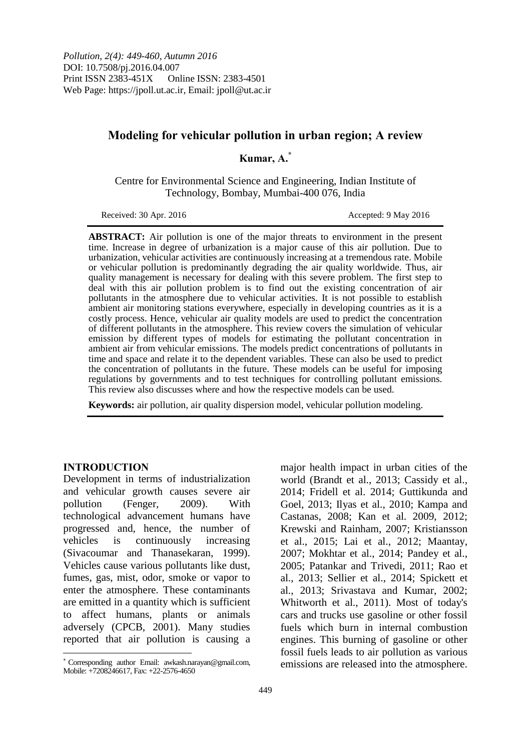# **Modeling for vehicular pollution in urban region; A review**

## **Kumar, A.\***

Centre for Environmental Science and Engineering, Indian Institute of Technology, Bombay, Mumbai-400 076, India

Received: 30 Apr. 2016 **Accepted: 9 May 2016** 

**ABSTRACT:** Air pollution is one of the major threats to environment in the present time. Increase in degree of urbanization is a major cause of this air pollution. Due to urbanization, vehicular activities are continuously increasing at a tremendous rate. Mobile or vehicular pollution is predominantly degrading the air quality worldwide. Thus, air quality management is necessary for dealing with this severe problem. The first step to deal with this air pollution problem is to find out the existing concentration of air pollutants in the atmosphere due to vehicular activities. It is not possible to establish ambient air monitoring stations everywhere, especially in developing countries as it is a costly process. Hence, vehicular air quality models are used to predict the concentration of different pollutants in the atmosphere. This review covers the simulation of vehicular emission by different types of models for estimating the pollutant concentration in ambient air from vehicular emissions. The models predict concentrations of pollutants in time and space and relate it to the dependent variables. These can also be used to predict the concentration of pollutants in the future. These models can be useful for imposing regulations by governments and to test techniques for controlling pollutant emissions. This review also discusses where and how the respective models can be used.

**Keywords:** air pollution, air quality dispersion model, vehicular pollution modeling.

## **INTRODUCTION**

 $\overline{a}$ 

Development in terms of industrialization and vehicular growth causes severe air pollution (Fenger, 2009). With technological advancement humans have progressed and, hence, the number of vehicles is continuously increasing (Sivacoumar and Thanasekaran, 1999). Vehicles cause various pollutants like dust, fumes, gas, mist, odor, smoke or vapor to enter the atmosphere. These contaminants are emitted in a quantity which is sufficient to affect humans, plants or animals adversely (CPCB, 2001). Many studies reported that air pollution is causing a major health impact in urban cities of the world (Brandt et al., 2013; Cassidy et al., 2014; Fridell et al. 2014; Guttikunda and Goel, 2013; Ilyas et al., 2010; Kampa and Castanas, 2008; Kan et al. 2009, 2012; Krewski and Rainham, 2007; Kristiansson et al., 2015; Lai et al., 2012; Maantay, 2007; Mokhtar et al., 2014; Pandey et al., 2005; Patankar and Trivedi, 2011; Rao et al., 2013; Sellier et al., 2014; Spickett et al., 2013; Srivastava and Kumar, 2002; Whitworth et al., 2011). Most of today's cars and trucks use gasoline or other fossil fuels which burn in internal combustion engines. This burning of gasoline or other fossil fuels leads to air pollution as various emissions are released into the atmosphere.

Corresponding author Email: awkash.narayan@gmail.com, Mobile: +7208246617, Fax: +22-2576-4650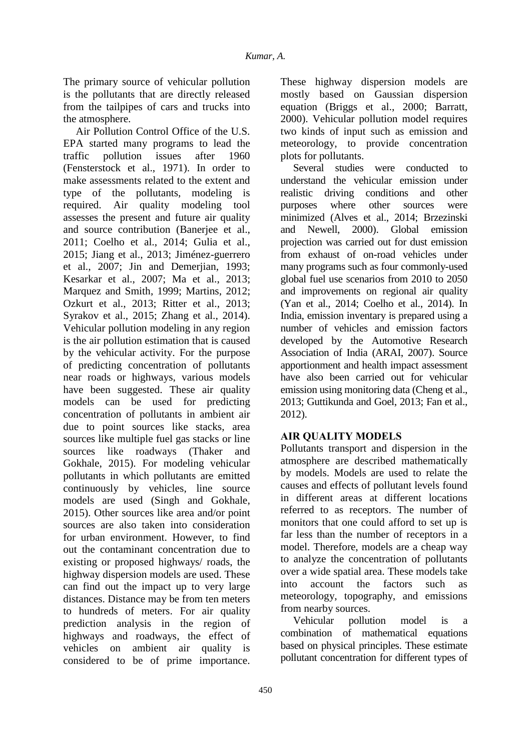The primary source of vehicular pollution is the pollutants that are directly released from the tailpipes of cars and trucks into the atmosphere.

Air Pollution Control Office of the U.S. EPA started many programs to lead the traffic pollution issues after 1960 (Fensterstock et al., 1971). In order to make assessments related to the extent and type of the pollutants, modeling is required. Air quality modeling tool assesses the present and future air quality and source contribution (Banerjee et al., 2011; Coelho et al., 2014; Gulia et al., 2015; Jiang et al., 2013; Jiménez-guerrero et al., 2007; Jin and Demerjian, 1993; Kesarkar et al., 2007; Ma et al., 2013; Marquez and Smith, 1999; Martins, 2012; Ozkurt et al., 2013; Ritter et al., 2013; Syrakov et al., 2015; Zhang et al., 2014). Vehicular pollution modeling in any region is the air pollution estimation that is caused by the vehicular activity. For the purpose of predicting concentration of pollutants near roads or highways, various models have been suggested. These air quality models can be used for predicting concentration of pollutants in ambient air due to point sources like stacks, area sources like multiple fuel gas stacks or line sources like roadways (Thaker and Gokhale, 2015). For modeling vehicular pollutants in which pollutants are emitted continuously by vehicles, line source models are used (Singh and Gokhale, 2015). Other sources like area and/or point sources are also taken into consideration for urban environment. However, to find out the contaminant concentration due to existing or proposed highways/ roads, the highway dispersion models are used. These can find out the impact up to very large distances. Distance may be from ten meters to hundreds of meters. For air quality prediction analysis in the region of highways and roadways, the effect of vehicles on ambient air quality is considered to be of prime importance.

These highway dispersion models are mostly based on Gaussian dispersion equation (Briggs et al., 2000; Barratt, 2000). Vehicular pollution model requires two kinds of input such as emission and meteorology, to provide concentration plots for pollutants.

Several studies were conducted to understand the vehicular emission under realistic driving conditions and other purposes where other sources were minimized (Alves et al., 2014; Brzezinski and Newell, 2000). Global emission projection was carried out for dust emission from exhaust of on-road vehicles under many programs such as four commonly-used global fuel use scenarios from 2010 to 2050 and improvements on regional air quality (Yan et al., 2014; Coelho et al., 2014). In India, emission inventary is prepared using a number of vehicles and emission factors developed by the Automotive Research Association of India (ARAI, 2007). Source apportionment and health impact assessment have also been carried out for vehicular emission using monitoring data (Cheng et al., 2013; Guttikunda and Goel, 2013; Fan et al., 2012).

# **AIR QUALITY MODELS**

Pollutants transport and dispersion in the atmosphere are described mathematically by models. Models are used to relate the causes and effects of pollutant levels found in different areas at different locations referred to as receptors. The number of monitors that one could afford to set up is far less than the number of receptors in a model. Therefore, models are a cheap way to analyze the concentration of pollutants over a wide spatial area. These models take into account the factors such as meteorology, topography, and emissions from nearby sources.

Vehicular pollution model is a combination of mathematical equations based on physical principles. These estimate pollutant concentration for different types of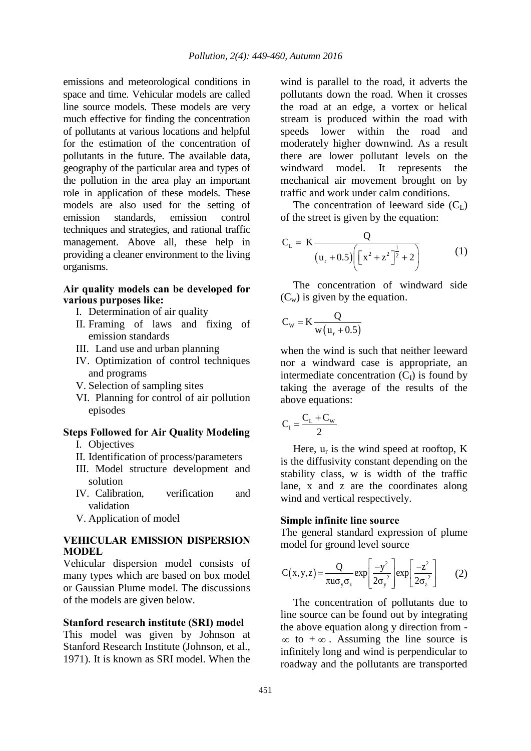emissions and meteorological conditions in space and time. Vehicular models are called line source models. These models are very much effective for finding the concentration of pollutants at various locations and helpful for the estimation of the concentration of pollutants in the future. The available data, geography of the particular area and types of the pollution in the area play an important role in application of these models. These models are also used for the setting of<br>emission standards, emission control emission standards, emission techniques and strategies, and rational traffic management. Above all, these help in providing a cleaner environment to the living organisms.

## **Air quality models can be developed for various purposes like:**

- I. Determination of air quality
- II. Framing of laws and fixing of emission standards
- III. Land use and urban planning
- IV. Optimization of control techniques and programs
- V. Selection of sampling sites
- VI. Planning for control of air pollution episodes

## **Steps Followed for Air Quality Modeling**

- I. Objectives
- II. Identification of process/parameters
- III. Model structure development and solution
- IV. Calibration, verification and validation
- V. Application of model

### **VEHICULAR EMISSION DISPERSION MODEL**

Vehicular dispersion model consists of many types which are based on box model or Gaussian Plume model. The discussions of the models are given below.

### **Stanford research institute (SRI) model**

This model was given by Johnson at Stanford Research Institute (Johnson, et al., 1971). It is known as SRI model. When the

wind is parallel to the road, it adverts the pollutants down the road. When it crosses the road at an edge, a vortex or helical stream is produced within the road with speeds lower within the road and moderately higher downwind. As a result there are lower pollutant levels on the windward model. It represents the mechanical air movement brought on by traffic and work under calm conditions.

The concentration of leeward side  $(C<sub>L</sub>)$ of the street is given by the equation:

$$
C_{L} = K \frac{Q}{(u_{r} + 0.5) \left[ \left[ x^{2} + z^{2} \right]^{2} + 2 \right]}
$$
 (1)

The concentration of windward side  $(C_w)$  is given by the equation.

$$
C_{w} = K \frac{Q}{w(u_{r} + 0.5)}
$$

when the wind is such that neither leeward nor a windward case is appropriate, an intermediate concentration  $(C_I)$  is found by taking the average of the results of the above equations:

$$
C_{I} = \frac{C_{L} + C_{W}}{2}
$$

Here,  $u_r$  is the wind speed at rooftop, K is the diffusivity constant depending on the stability class, w is width of the traffic lane, x and z are the coordinates along wind and vertical respectively.

#### **Simple infinite line source**

The general standard expression of plume model for ground level source

$$
C(x,y,z) = \frac{Q}{\pi u \sigma_y \sigma_z} exp\left[\frac{-y^2}{2\sigma_y^2}\right] exp\left[\frac{-z^2}{2\sigma_z^2}\right]
$$
 (2)

The concentration of pollutants due to line source can be found out by integrating the above equation along y direction from -  $\infty$  to  $+\infty$ . Assuming the line source is infinitely long and wind is perpendicular to roadway and the pollutants are transported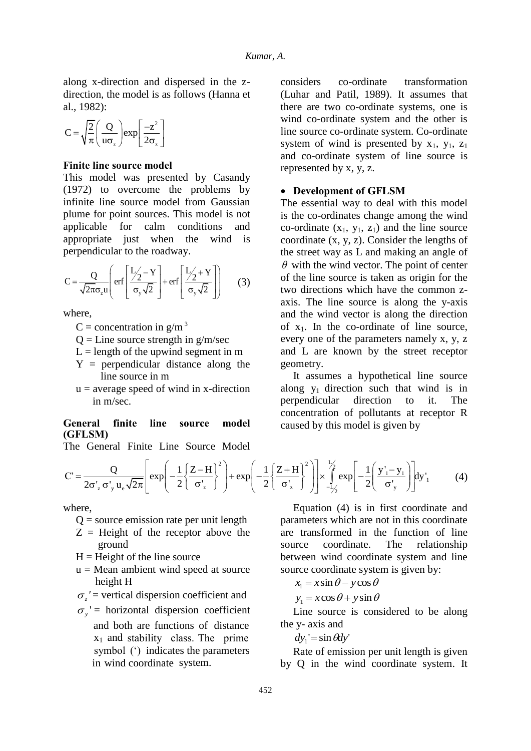along x-direction and dispersed in the zdirection, the model is as follows (Hanna et al., 1982):

$$
C = \sqrt{\frac{2}{\pi}} \left( \frac{Q}{u\sigma_z} \right) \exp \left[ \frac{-z^2}{2\sigma_z} \right]
$$

#### **Finite line source model**

This model was presented by Casandy (1972) to overcome the problems by infinite line source model from Gaussian plume for point sources. This model is not applicable for calm conditions and appropriate just when the wind is perpendicular to the roadway.

$$
C = \frac{Q}{\sqrt{2\pi}\sigma_z u} \left( erf \left( \frac{L_2' - Y}{\sigma_y \sqrt{2}} \right) + erf \left( \frac{L_2' + Y}{\sigma_y \sqrt{2}} \right) \right)
$$
 (3)

where,

- C = concentration in  $g/m<sup>3</sup>$
- $Q =$  Line source strength in  $g/m/sec$
- $L =$  length of the upwind segment in m
- Y = perpendicular distance along the line source in m
- $u =$  average speed of wind in x-direction in m/sec.

#### **General finite line source model (GFLSM)**

The General Finite Line Source Model

considers co-ordinate transformation (Luhar and Patil, 1989). It assumes that there are two co-ordinate systems, one is wind co-ordinate system and the other is line source co-ordinate system. Co-ordinate system of wind is presented by  $x_1$ ,  $y_1$ ,  $z_1$ and co-ordinate system of line source is represented by x, y, z.

## **Development of GFLSM**

The essential way to deal with this model is the co-ordinates change among the wind co-ordinate  $(x_1, y_1, z_1)$  and the line source coordinate (x, y, z). Consider the lengths of the street way as L and making an angle of  $\theta$  with the wind vector. The point of center of the line source is taken as origin for the two directions which have the common zaxis. The line source is along the y-axis and the wind vector is along the direction of  $x_1$ . In the co-ordinate of line source, every one of the parameters namely x, y, z and L are known by the street receptor geometry.

It assumes a hypothetical line source along  $y_1$  direction such that wind is in perpendicular direction to it. The concentration of pollutants at receptor R caused by this model is given by

**General finite line source model**  
\nThe General Finite Line Source Model  
\n
$$
C' = \frac{Q}{2\sigma'_z \sigma'_y u_e \sqrt{2\pi}} \left[ exp\left(-\frac{1}{2}\left\{\frac{Z-H}{\sigma'_z}\right\}^2\right) + exp\left(-\frac{1}{2}\left\{\frac{Z+H}{\sigma'_z}\right\}^2\right) \right] \times \int_{-\frac{L}{2}}^{\frac{L}{2}} exp\left[-\frac{1}{2}\left(\frac{y'_1 - y_1}{\sigma'_y}\right)\right] dy'_1 \tag{4}
$$

where,

- $Q =$  source emission rate per unit length
- $Z =$  Height of the receptor above the ground
- $H =$  Height of the line source
- $u = Mean$  ambient wind speed at source height H
- $\sigma_z$ <sup>'</sup> = vertical dispersion coefficient and
- $\sigma_y$ ' = horizontal dispersion coefficient and both are functions of distance  $x_1$  and stability class. The prime symbol (') indicates the parameters in wind coordinate system.

Equation (4) is in first coordinate and parameters which are not in this coordinate are transformed in the function of line source coordinate. The relationship between wind coordinate system and line source coordinate system is given by:

 $x_i = x \sin \theta - y \cos \theta$ 

 $y_1 = x\cos\theta + y\sin\theta$ 

Line source is considered to be along the y- axis and

 $dy_1' = \sin \theta dy'$ 

Rate of emission per unit length is given by Q in the wind coordinate system. It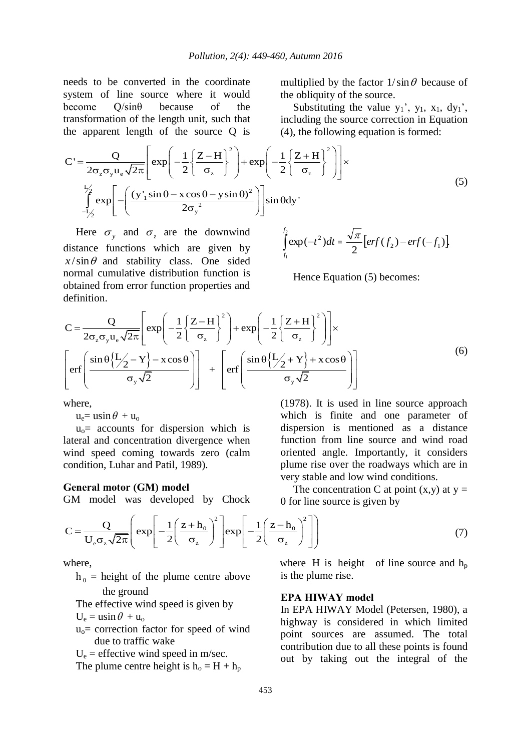needs to be converted in the coordinate system of line source where it would become Q/sinθ because of the transformation of the length unit, such that

multiplied by the factor  $1/\sin\theta$  because of the obliquity of the source.

Substituting the value  $y_1$ ',  $y_1$ ,  $x_1$ ,  $dy_1$ ', including the source correction in Equation (4), the following equation is formed:

Equation of the length unit, such that the apparent length of the source Q is

\n
$$
C' = \frac{Q}{2\sigma_z \sigma_y u_e \sqrt{2\pi}} \left[ \exp\left(-\frac{1}{2}\left\{\frac{Z-H}{\sigma_z}\right\}^2 + \exp\left(-\frac{1}{2}\left\{\frac{Z+H}{\sigma_z}\right\}^2\right) \right] \times \left[ \exp\left(-\frac{1}{2}\left\{\frac{Z+H}{\sigma_z}\right\}^2 + \exp\left(-\frac{1}{2}\left\{\frac{Z+H}{\sigma_z}\right\}^2\right) \right] \right]
$$
\n(5)

\n
$$
\int_{-1/2}^{1/2} \exp\left[-\left(\frac{(y_1' \sin \theta - x \cos \theta - y \sin \theta)^2}{2\sigma_y^2}\right) \sin \theta \, dy\right]
$$

Here  $\sigma_y$  and  $\sigma_z$  are the downwind distance functions which are given by  $x/\sin\theta$  and stability class. One sided normal cumulative distribution function is obtained from error function properties and definition.

$$
\int_{f_1}^{f_2} \exp(-t^2) dt = \frac{\sqrt{\pi}}{2} [erf(f_2) - erf(-f_1)]
$$

Hence Equation (5) becomes:

obtained from error function properties and  
\ndefinition.  
\n
$$
C = \frac{Q}{2\sigma_z \sigma_y u_e \sqrt{2\pi}} \left[ exp\left(-\frac{1}{2}\left\{\frac{Z-H}{\sigma_z}\right\}^2\right) + exp\left(-\frac{1}{2}\left\{\frac{Z+H}{\sigma_z}\right\}^2\right) \right] \times
$$
\n
$$
\left[ erf\left(\frac{sin \theta \left\{\frac{L}{2}-Y\right\}-x cos \theta}{\sigma_y \sqrt{2}}\right) \right] + \left[ erf\left(\frac{sin \theta \left\{\frac{L}{2}+Y\right\}+x cos \theta}{\sigma_y \sqrt{2}}\right) \right]
$$
\n(6)

where,

 $u_e = u \sin \theta + u_o$ 

 $u_0$  = accounts for dispersion which is lateral and concentration divergence when wind speed coming towards zero (calm condition, Luhar and Patil, 1989).

#### **General motor (GM) model**

(1978). It is used in line source approach which is finite and one parameter of dispersion is mentioned as a distance function from line source and wind road oriented angle. Importantly, it considers plume rise over the roadways which are in very stable and low wind conditions.

The concentration C at point  $(x,y)$  at  $y =$ 0 for line source is given by

GM model was developed by Chock 0 for line source is given by  
\n
$$
C = \frac{Q}{U_e \sigma_z \sqrt{2\pi}} \left( exp \left[ -\frac{1}{2} \left( \frac{z + h_0}{\sigma_z} \right)^2 \right] exp \left[ -\frac{1}{2} \left( \frac{z - h_0}{\sigma_z} \right)^2 \right] \right)
$$
\n(7)

where,

 $h_0$  = height of the plume centre above the ground

The effective wind speed is given by

 $U_e = u \sin \theta + u_o$ 

 $u<sub>o</sub>=$  correction factor for speed of wind due to traffic wake

 $U_e$  = effective wind speed in m/sec.

The plume centre height is  $h_0 = H + h_p$ 

where H is height of line source and  $h_p$ is the plume rise.

#### **EPA HIWAY model**

In EPA HIWAY Model (Petersen, 1980), a highway is considered in which limited point sources are assumed. The total contribution due to all these points is found out by taking out the integral of the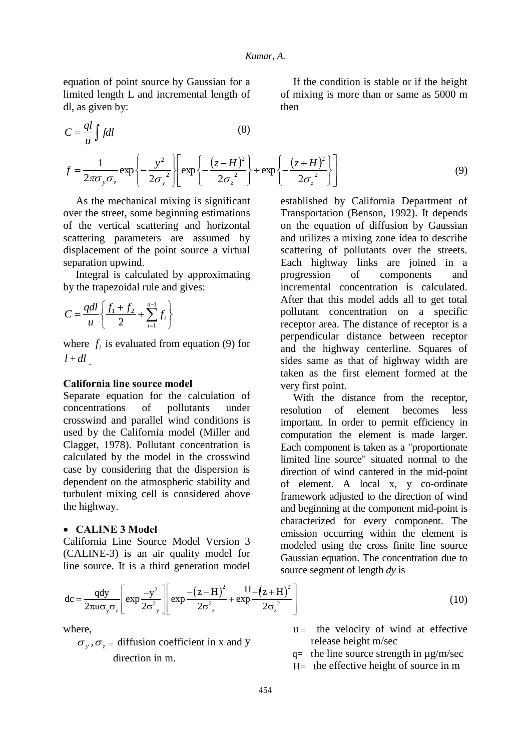equation of point source by Gaussian for a limited length L and incremental length of dl, as given by:

$$
C = \frac{ql}{u} \int f dl
$$
 (8)  

$$
\int \frac{1}{v^2} \int \left[ \int \frac{1}{v^2} \left( (z - H)^2 \right) \right]
$$

If the condition is stable or if the height of mixing is more than or same as 5000 m then

$$
C = \frac{ql}{u} \int f dl
$$
\n
$$
f = \frac{1}{2\pi\sigma_y \sigma_z} \exp\left\{-\frac{y^2}{2\sigma_y^2}\right\} \left[\exp\left\{-\frac{(z-H)^2}{2\sigma_z^2}\right\} + \exp\left\{-\frac{(z+H)^2}{2\sigma_z^2}\right\}\right]
$$
\n(9)

As the mechanical mixing is significant over the street, some beginning estimations of the vertical scattering and horizontal scattering parameters are assumed by displacement of the point source a virtual separation upwind.

Integral is calculated by approximating by the trapezoidal rule and gives:

$$
C = \frac{qdl}{u} \left\{ \frac{f_1 + f_2}{2} + \sum_{i=1}^{n-1} f_i \right\}
$$

where  $f_i$  is evaluated from equation (9) for  $l + dl$ .

#### **California line source model**

Separate equation for the calculation of concentrations of pollutants under crosswind and parallel wind conditions is used by the California model (Miller and Clagget, 1978). Pollutant concentration is calculated by the model in the crosswind case by considering that the dispersion is dependent on the atmospheric stability and turbulent mixing cell is considered above the highway.

#### **CALINE 3 Model**

California Line Source Model Version 3 (CALINE-3) is an air quality model for established by California Department of Transportation (Benson, 1992). It depends on the equation of diffusion by Gaussian and utilizes a mixing zone idea to describe scattering of pollutants over the streets. Each highway links are joined in a progression of components and incremental concentration is calculated. After that this model adds all to get total pollutant concentration on a specific receptor area. The distance of receptor is a perpendicular distance between receptor and the highway centerline. Squares of sides same as that of highway width are taken as the first element formed at the very first point.

With the distance from the receptor, resolution of element becomes less important. In order to permit efficiency in computation the element is made larger. Each component is taken as a "proportionate limited line source" situated normal to the direction of wind cantered in the mid-point of element. A local x, y co-ordinate framework adjusted to the direction of wind and beginning at the component mid-point is characterized for every component. The emission occurring within the element is modeled using the cross finite line source Gaussian equation. The concentration due to source segment of length *dy* is

$$
\text{Line source. It is a third generation model} \begin{cases}\n\text{Gaussian equation. The concentration due to} \\
\text{source segment of length } dy \text{ is} \\
\text{dc} = \frac{qdy}{2\pi u \sigma_y \sigma_z} \left[ \exp \frac{-y^2}{2\sigma_y^2} \right] \left[ \exp \frac{- (z - H)^2}{2\sigma_z^2} + \exp \frac{- (z - H)^2}{2\sigma_z^2} \right]\n\end{cases} \tag{10}
$$

where,

 $\sigma_y$ ,  $\sigma_z$  = diffusion coefficient in x and y direction in m.

- $u =$  the velocity of wind at effective release height m/sec
- $q=$  the line source strength in  $\mu$ g/m/sec
- H= the effective height of source in m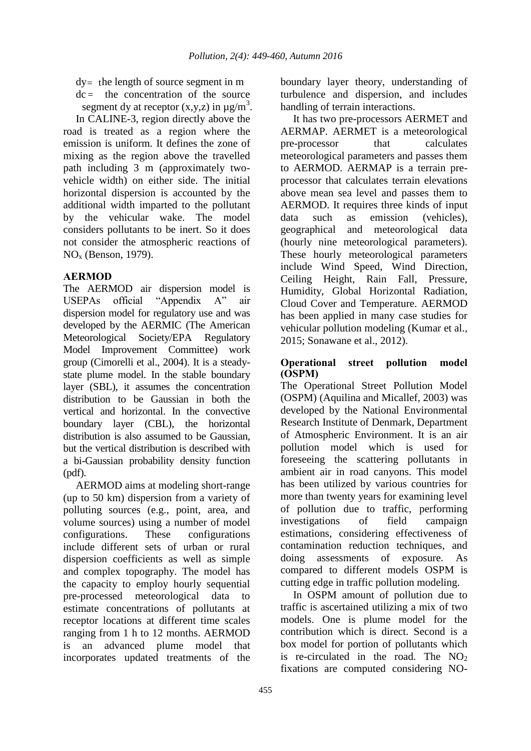$dy =$  the length of source segment in m

 $dc =$  the concentration of the source segment dy at receptor  $(x,y,z)$  in  $\mu g/m^3$ . In CALINE-3, region directly above the road is treated as a region where the emission is uniform. It defines the zone of mixing as the region above the travelled path including 3 m (approximately twovehicle width) on either side. The initial horizontal dispersion is accounted by the

additional width imparted to the pollutant by the vehicular wake. The model considers pollutants to be inert. So it does not consider the atmospheric reactions of NO<sup>x</sup> (Benson, 1979).

# **AERMOD**

The AERMOD air dispersion model is USEPAs official "Appendix A" air dispersion model for regulatory use and was developed by the AERMIC (The American Meteorological Society/EPA Regulatory Model Improvement Committee) work group (Cimorelli et al., 2004). It is a steadystate plume model. In the stable boundary layer (SBL), it assumes the concentration distribution to be Gaussian in both the vertical and horizontal. In the convective boundary layer (CBL), the horizontal distribution is also assumed to be Gaussian. but the vertical distribution is described with a bi-Gaussian probability density function (pdf).

AERMOD aims at modeling short-range (up to 50 km) dispersion from a variety of polluting sources (e.g., point, area, and volume sources) using a number of model configurations. These configurations include different sets of urban or rural dispersion coefficients as well as simple and complex topography. The model has the capacity to employ hourly sequential pre-processed meteorological data to estimate concentrations of pollutants at receptor locations at different time scales ranging from 1 h to 12 months. AERMOD is an advanced plume model that incorporates updated treatments of the

boundary layer theory, understanding of turbulence and dispersion, and includes handling of terrain interactions.

It has two pre-processors AERMET and AERMAP. AERMET is a meteorological pre-processor that calculates meteorological parameters and passes them to AERMOD. AERMAP is a terrain preprocessor that calculates terrain elevations above mean sea level and passes them to AERMOD. It requires three kinds of input data such as emission (vehicles), geographical and meteorological data (hourly nine meteorological parameters). These hourly meteorological parameters include Wind Speed, Wind Direction, Ceiling Height, Rain Fall, Pressure, Humidity, Global Horizontal Radiation, Cloud Cover and Temperature. AERMOD has been applied in many case studies for vehicular pollution modeling (Kumar et al., 2015; Sonawane et al., 2012).

## **Operational street pollution model (OSPM)**

The Operational Street Pollution Model (OSPM) (Aquilina and Micallef, 2003) was developed by the National Environmental Research Institute of Denmark, Department of Atmospheric Environment. It is an air pollution model which is used for foreseeing the scattering pollutants in ambient air in road canyons. This model has been utilized by various countries for more than twenty years for examining level of pollution due to traffic, performing investigations of field campaign estimations, considering effectiveness of contamination reduction techniques, and doing assessments of exposure. As compared to different models OSPM is cutting edge in traffic pollution modeling.

In OSPM amount of pollution due to traffic is ascertained utilizing a mix of two models. One is plume model for the contribution which is direct. Second is a box model for portion of pollutants which is re-circulated in the road. The  $NO<sub>2</sub>$ fixations are computed considering NO-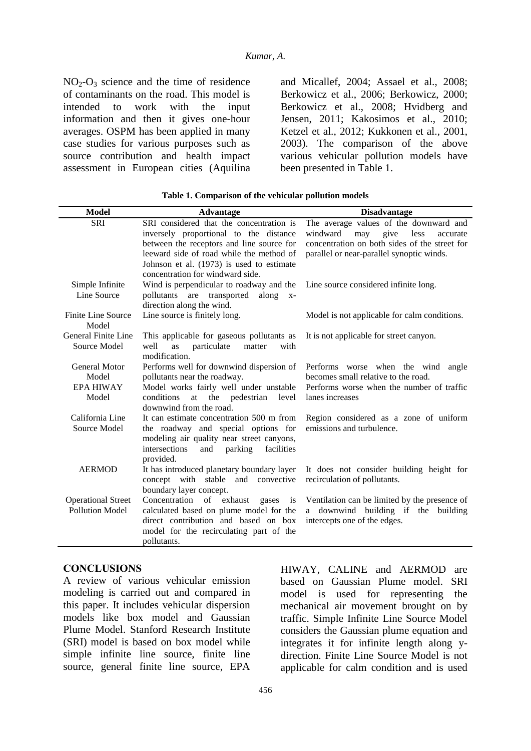$NO<sub>2</sub>-O<sub>3</sub>$  science and the time of residence of contaminants on the road. This model is intended to work with the input information and then it gives one-hour averages. OSPM has been applied in many case studies for various purposes such as source contribution and health impact assessment in European cities (Aquilina and Micallef, 2004; Assael et al., 2008; Berkowicz et al., 2006; Berkowicz, 2000; Berkowicz et al., 2008; Hvidberg and Jensen, 2011; Kakosimos et al., 2010; Ketzel et al., 2012; Kukkonen et al., 2001, 2003). The comparison of the above various vehicular pollution models have been presented in Table 1.

| <b>Model</b>                | <b>Advantage</b>                                             | <b>Disadvantage</b>                           |
|-----------------------------|--------------------------------------------------------------|-----------------------------------------------|
| <b>SRI</b>                  | SRI considered that the concentration is                     | The average values of the downward and        |
|                             | inversely proportional to the distance                       | windward<br>may<br>give<br>less<br>accurate   |
|                             | between the receptors and line source for                    | concentration on both sides of the street for |
|                             | leeward side of road while the method of                     | parallel or near-parallel synoptic winds.     |
|                             | Johnson et al. (1973) is used to estimate                    |                                               |
|                             | concentration for windward side.                             |                                               |
| Simple Infinite             | Wind is perpendicular to roadway and the                     | Line source considered infinite long.         |
| Line Source                 | pollutants are transported along<br>$X -$                    |                                               |
|                             | direction along the wind.                                    |                                               |
| Finite Line Source<br>Model | Line source is finitely long.                                | Model is not applicable for calm conditions.  |
| General Finite Line         | This applicable for gaseous pollutants as                    | It is not applicable for street canyon.       |
| Source Model                | well<br>as<br>particulate<br>matter<br>with<br>modification. |                                               |
| <b>General Motor</b>        | Performs well for downwind dispersion of                     | Performs worse when the wind angle            |
| Model                       | pollutants near the roadway.                                 | becomes small relative to the road.           |
| <b>EPA HIWAY</b>            | Model works fairly well under unstable                       | Performs worse when the number of traffic     |
| Model                       | the pedestrian<br>conditions<br>at<br>level                  | lanes increases                               |
|                             | downwind from the road.                                      |                                               |
| California Line             | It can estimate concentration 500 m from                     | Region considered as a zone of uniform        |
| Source Model                | the roadway and special options for                          | emissions and turbulence.                     |
|                             | modeling air quality near street canyons,                    |                                               |
|                             | intersections<br>facilities<br>and<br>parking                |                                               |
|                             | provided.                                                    |                                               |
| <b>AERMOD</b>               | It has introduced planetary boundary layer                   | It does not consider building height for      |
|                             | concept with stable and convective                           | recirculation of pollutants.                  |
|                             | boundary layer concept.                                      |                                               |
| <b>Operational Street</b>   | Concentration<br>of exhaust<br>gases<br>is                   | Ventilation can be limited by the presence of |
| Pollution Model             | calculated based on plume model for the                      | a downwind building if the building           |
|                             | direct contribution and based on box                         | intercepts one of the edges.                  |
|                             | model for the recirculating part of the                      |                                               |
|                             | pollutants.                                                  |                                               |

**Table 1. Comparison of the vehicular pollution models**

## **CONCLUSIONS**

A review of various vehicular emission modeling is carried out and compared in this paper. It includes vehicular dispersion models like box model and Gaussian Plume Model. Stanford Research Institute (SRI) model is based on box model while simple infinite line source, finite line source, general finite line source, EPA HIWAY, CALINE and AERMOD are based on Gaussian Plume model. SRI model is used for representing the mechanical air movement brought on by traffic. Simple Infinite Line Source Model considers the Gaussian plume equation and integrates it for infinite length along ydirection. Finite Line Source Model is not applicable for calm condition and is used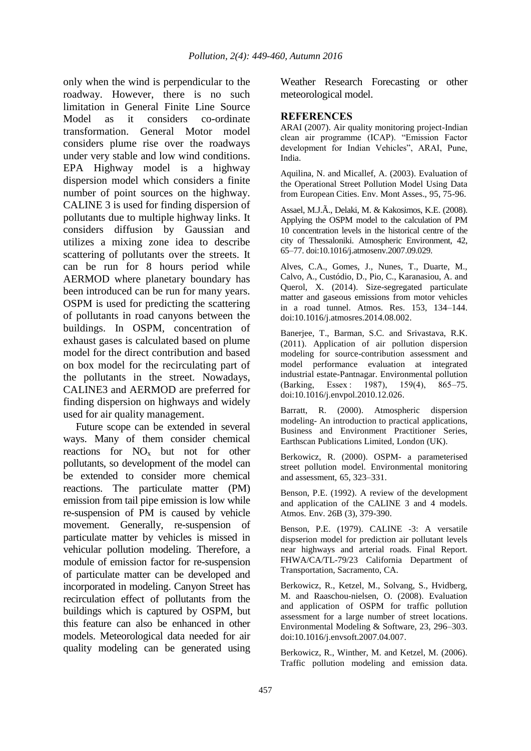only when the wind is perpendicular to the roadway. However, there is no such limitation in General Finite Line Source Model as it considers co-ordinate transformation. General Motor model considers plume rise over the roadways under very stable and low wind conditions. EPA Highway model is a highway dispersion model which considers a finite number of point sources on the highway. CALINE 3 is used for finding dispersion of pollutants due to multiple highway links. It considers diffusion by Gaussian and utilizes a mixing zone idea to describe scattering of pollutants over the streets. It can be run for 8 hours period while AERMOD where planetary boundary has been introduced can be run for many years. OSPM is used for predicting the scattering of pollutants in road canyons between the buildings. In OSPM, concentration of exhaust gases is calculated based on plume model for the direct contribution and based on box model for the recirculating part of the pollutants in the street. Nowadays, CALINE3 and AERMOD are preferred for finding dispersion on highways and widely used for air quality management.

Future scope can be extended in several ways. Many of them consider chemical reactions for  $NO<sub>x</sub>$  but not for other pollutants, so development of the model can be extended to consider more chemical reactions. The particulate matter (PM) emission from tail pipe emission is low while re-suspension of PM is caused by vehicle movement. Generally, re-suspension of particulate matter by vehicles is missed in vehicular pollution modeling. Therefore, a module of emission factor for re-suspension of particulate matter can be developed and incorporated in modeling. Canyon Street has recirculation effect of pollutants from the buildings which is captured by OSPM, but this feature can also be enhanced in other models. Meteorological data needed for air quality modeling can be generated using

Weather Research Forecasting or other meteorological model.

#### **REFERENCES**

ARAI (2007). Air quality monitoring project-Indian clean air programme (ICAP). "Emission Factor development for Indian Vehicles", ARAI, Pune, India.

Aquilina, N. and Micallef, A. (2003). Evaluation of the Operational Street Pollution Model Using Data from European Cities. Env. Mont Asses., 95, 75-96.

Assael, M.J.Ã., Delaki, M. & Kakosimos, K.E. (2008). Applying the OSPM model to the calculation of PM 10 concentration levels in the historical centre of the city of Thessaloniki. Atmospheric Environment, 42, 65–77. doi:10.1016/j.atmosenv.2007.09.029.

Alves, C.A., Gomes, J., Nunes, T., Duarte, M., Calvo, A., Custódio, D., Pio, C., Karanasiou, A. and Querol, X. (2014). Size-segregated particulate matter and gaseous emissions from motor vehicles in a road tunnel. Atmos. Res. 153, 134–144. doi:10.1016/j.atmosres.2014.08.002.

Banerjee, T., Barman, S.C. and Srivastava, R.K. (2011). Application of air pollution dispersion modeling for source-contribution assessment and model performance evaluation at integrated industrial estate-Pantnagar. Environmental pollution (Barking, Essex : 1987), 159(4), 865–75. doi:10.1016/j.envpol.2010.12.026.

Barratt, R. (2000). Atmospheric dispersion modeling- An introduction to practical applications, Business and Environment Practitioner Series, Earthscan Publications Limited, London (UK).

Berkowicz, R. (2000). OSPM- a parameterised street pollution model. Environmental monitoring and assessment, 65, 323–331.

Benson, P.E. (1992). A review of the development and application of the CALINE 3 and 4 models. Atmos. Env. 26B (3), 379-390.

Benson, P.E. (1979). CALINE -3: A versatile dispserion model for prediction air pollutant levels near highways and arterial roads. Final Report. FHWA/CA/TL-79/23 California Department of Transportation, Sacramento, CA.

Berkowicz, R., Ketzel, M., Solvang, S., Hvidberg, M. and Raaschou-nielsen, O. (2008). Evaluation and application of OSPM for traffic pollution assessment for a large number of street locations. Environmental Modeling & Software, 23, 296–303. doi:10.1016/j.envsoft.2007.04.007.

Berkowicz, R., Winther, M. and Ketzel, M. (2006). Traffic pollution modeling and emission data.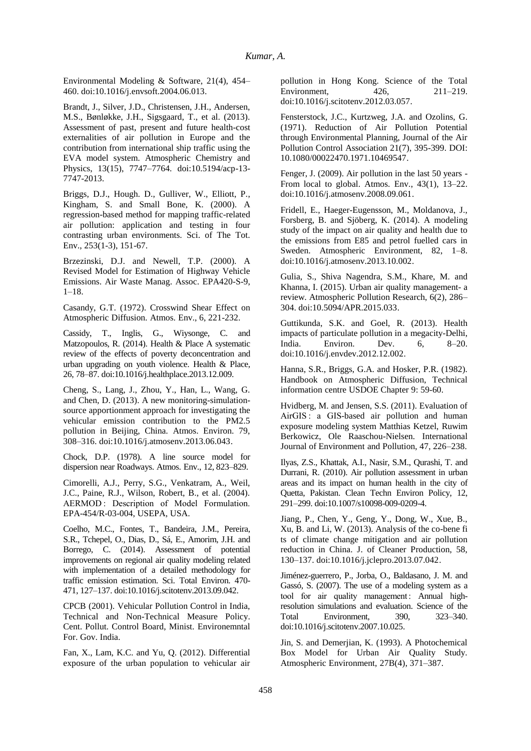Environmental Modeling & Software, 21(4), 454– 460. doi:10.1016/j.envsoft.2004.06.013.

Brandt, J., Silver, J.D., Christensen, J.H., Andersen, M.S., Bønløkke, J.H., Sigsgaard, T., et al. (2013). Assessment of past, present and future health-cost externalities of air pollution in Europe and the contribution from international ship traffic using the EVA model system. Atmospheric Chemistry and Physics, 13(15), 7747–7764. doi:10.5194/acp-13- 7747-2013.

Briggs, D.J., Hough. D., Gulliver, W., Elliott, P., Kingham, S. and Small Bone, K. (2000). A regression-based method for mapping traffic-related air pollution: application and testing in four contrasting urban environments. Sci. of The Tot. Env., 253(1-3), 151-67.

Brzezinski, D.J. and Newell, T.P. (2000). A Revised Model for Estimation of Highway Vehicle Emissions. Air Waste Manag. Assoc. EPA420-S-9, 1–18.

Casandy, G.T. (1972). Crosswind Shear Effect on Atmospheric Diffusion. Atmos. Env., 6, 221-232.

Cassidy, T., Inglis, G., Wiysonge, C. and Matzopoulos, R. (2014). Health & Place A systematic review of the effects of poverty deconcentration and urban upgrading on youth violence. Health & Place, 26, 78–87. doi:10.1016/j.healthplace.2013.12.009.

Cheng, S., Lang, J., Zhou, Y., Han, L., Wang, G. and Chen, D. (2013). A new monitoring-simulationsource apportionment approach for investigating the vehicular emission contribution to the PM2.5 pollution in Beijing, China. Atmos. Environ. 79, 308–316. doi:10.1016/j.atmosenv.2013.06.043.

Chock, D.P. (1978). A line source model for dispersion near Roadways. Atmos. Env., 12, 823–829.

Cimorelli, A.J., Perry, S.G., Venkatram, A., Weil, J.C., Paine, R.J., Wilson, Robert, B., et al. (2004). AERMOD : Description of Model Formulation. EPA-454/R-03-004, USEPA, USA.

Coelho, M.C., Fontes, T., Bandeira, J.M., Pereira, S.R., Tchepel, O., Dias, D., Sá, E., Amorim, J.H. and Borrego, C. (2014). Assessment of potential improvements on regional air quality modeling related with implementation of a detailed methodology for traffic emission estimation. Sci. Total Environ. 470- 471, 127–137. doi:10.1016/j.scitotenv.2013.09.042.

CPCB (2001). Vehicular Pollution Control in India, Technical and Non-Technical Measure Policy. Cent. Pollut. Control Board, Minist. Environemntal For. Gov. India.

Fan, X., Lam, K.C. and Yu, Q. (2012). Differential exposure of the urban population to vehicular air pollution in Hong Kong. Science of the Total<br>Environment, 426, 211-219. Environment, 426, doi:10.1016/j.scitotenv.2012.03.057.

Fensterstock, J.C., Kurtzweg, J.A. and Ozolins, G. (1971). Reduction of Air Pollution Potential through Environmental Planning, Journal of the Air Pollution Control Association 21(7), 395-399. DOI: 10.1080/00022470.1971.10469547.

Fenger, J. (2009). Air pollution in the last 50 years - From local to global. Atmos. Env., 43(1), 13–22. doi:10.1016/j.atmosenv.2008.09.061.

Fridell, E., Haeger-Eugensson, M., Moldanova, J., Forsberg, B. and Sjöberg, K. (2014). A modeling study of the impact on air quality and health due to the emissions from E85 and petrol fuelled cars in Sweden. Atmospheric Environment, 82, 1–8. doi:10.1016/j.atmosenv.2013.10.002.

Gulia, S., Shiva Nagendra, S.M., Khare, M. and Khanna, I. (2015). Urban air quality management- a review. Atmospheric Pollution Research, 6(2), 286– 304. doi:10.5094/APR.2015.033.

Guttikunda, S.K. and Goel, R. (2013). Health impacts of particulate pollution in a megacity-Delhi, India. Environ. Dev. 6, 8–20. doi:10.1016/j.envdev.2012.12.002.

Hanna, S.R., Briggs, G.A. and Hosker, P.R. (1982). Handbook on Atmospheric Diffusion, Technical information centre USDOE Chapter 9: 59-60.

Hvidberg, M. and Jensen, S.S. (2011). Evaluation of AirGIS : a GIS-based air pollution and human exposure modeling system Matthias Ketzel, Ruwim Berkowicz, Ole Raaschou-Nielsen. International Journal of Environment and Pollution, 47, 226–238.

Ilyas, Z.S., Khattak, A.I., Nasir, S.M., Qurashi, T. and Durrani, R. (2010). Air pollution assessment in urban areas and its impact on human health in the city of Quetta, Pakistan. Clean Techn Environ Policy, 12, 291–299. doi:10.1007/s10098-009-0209-4.

Jiang, P., Chen, Y., Geng, Y., Dong, W., Xue, B., Xu, B. and Li, W. (2013). Analysis of the co-bene fi ts of climate change mitigation and air pollution reduction in China. J. of Cleaner Production, 58, 130–137. doi:10.1016/j.jclepro.2013.07.042.

Jiménez-guerrero, P., Jorba, O., Baldasano, J. M. and Gassó, S. (2007). The use of a modeling system as a tool for air quality management: Annual highresolution simulations and evaluation. Science of the Total Environment, 390, 323–340. doi:10.1016/j.scitotenv.2007.10.025.

Jin, S. and Demerjian, K. (1993). A Photochemical Box Model for Urban Air Quality Study. Atmospheric Environment, 27B(4), 371–387.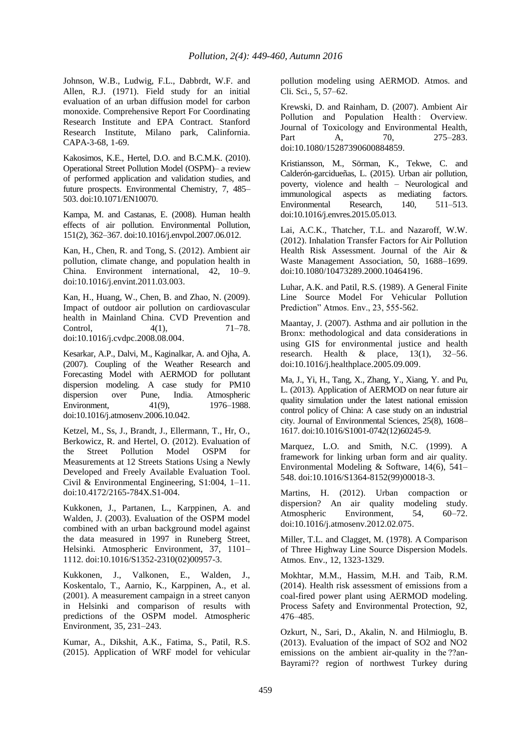Johnson, W.B., Ludwig, F.L., Dabbrdt, W.F. and Allen, R.J. (1971). Field study for an initial evaluation of an urban diffusion model for carbon monoxide. Comprehensive Report For Coordinating Research Institute and EPA Contract. Stanford Research Institute, Milano park, Calinfornia. CAPA-3-68, 1-69.

Kakosimos, K.E., Hertel, D.O. and B.C.M.K. (2010). Operational Street Pollution Model (OSPM)– a review of performed application and validation studies, and future prospects. Environmental Chemistry, 7, 485– 503. doi:10.1071/EN10070.

Kampa, M. and Castanas, E. (2008). Human health effects of air pollution. Environmental Pollution, 151(2), 362–367. doi:10.1016/j.envpol.2007.06.012.

Kan, H., Chen, R. and Tong, S. (2012). Ambient air pollution, climate change, and population health in China. Environment international, 42, 10–9. doi:10.1016/j.envint.2011.03.003.

Kan, H., Huang, W., Chen, B. and Zhao, N. (2009). Impact of outdoor air pollution on cardiovascular health in Mainland China. CVD Prevention and Control, 4(1), 71–78. doi:10.1016/j.cvdpc.2008.08.004.

Kesarkar, A.P., Dalvi, M., Kaginalkar, A. and Ojha, A. (2007). Coupling of the Weather Research and Forecasting Model with AERMOD for pollutant dispersion modeling. A case study for PM10 dispersion over Pune, India. Atmospheric Environment, 41(9), 1976–1988. doi:10.1016/j.atmosenv.2006.10.042.

Ketzel, M., Ss, J., Brandt, J., Ellermann, T., Hr, O., Berkowicz, R. and Hertel, O. (2012). Evaluation of the Street Pollution Model OSPM for Measurements at 12 Streets Stations Using a Newly Developed and Freely Available Evaluation Tool. Civil & Environmental Engineering, S1:004, 1–11. doi:10.4172/2165-784X.S1-004.

Kukkonen, J., Partanen, L., Karppinen, A. and Walden, J. (2003). Evaluation of the OSPM model combined with an urban background model against the data measured in 1997 in Runeberg Street, Helsinki. Atmospheric Environment, 37, 1101– 1112. doi:10.1016/S1352-2310(02)00957-3.

Kukkonen, J., Valkonen, E., Walden, J., Koskentalo, T., Aarnio, K., Karppinen, A., et al. (2001). A measurement campaign in a street canyon in Helsinki and comparison of results with predictions of the OSPM model. Atmospheric Environment, 35, 231–243.

Kumar, A., Dikshit, A.K., Fatima, S., Patil, R.S. (2015). Application of WRF model for vehicular pollution modeling using AERMOD. Atmos. and Cli. Sci., 5, 57–62.

Krewski, D. and Rainham, D. (2007). Ambient Air Pollution and Population Health : Overview. Journal of Toxicology and Environmental Health, Part A, 70, 275–283. doi:10.1080/15287390600884859.

Kristiansson, M., Sörman, K., Tekwe, C. and Calderón-garcidueñas, L. (2015). Urban air pollution, poverty, violence and health – Neurological and immunological aspects as mediating factors.<br>Environmental Research, 140, 511-513. Environmental Research, 140, doi:10.1016/j.envres.2015.05.013.

Lai, A.C.K., Thatcher, T.L. and Nazaroff, W.W. (2012). Inhalation Transfer Factors for Air Pollution Health Risk Assessment. Journal of the Air & Waste Management Association, 50, 1688–1699. doi:10.1080/10473289.2000.10464196.

Luhar, A.K. and Patil, R.S. (1989). A General Finite Line Source Model For Vehicular Pollution Prediction" Atmos. Env., 23, 555-562.

Maantay, J. (2007). Asthma and air pollution in the Bronx: methodological and data considerations in using GIS for environmental justice and health research. Health & place, 13(1), 32–56. doi:10.1016/j.healthplace.2005.09.009.

Ma, J., Yi, H., Tang, X., Zhang, Y., Xiang, Y. and Pu, L. (2013). Application of AERMOD on near future air quality simulation under the latest national emission control policy of China: A case study on an industrial city. Journal of Environmental Sciences, 25(8), 1608– 1617. doi:10.1016/S1001-0742(12)60245-9.

Marquez, L.O. and Smith, N.C. (1999). A framework for linking urban form and air quality. Environmental Modeling & Software, 14(6), 541– 548. doi:10.1016/S1364-8152(99)00018-3.

Martins, H. (2012). Urban compaction or dispersion? An air quality modeling study. Atmospheric Environment, 54, 60–72. doi:10.1016/j.atmosenv.2012.02.075.

Miller, T.L. and Clagget, M. (1978). A Comparison of Three Highway Line Source Dispersion Models. Atmos. Env., 12, 1323-1329.

Mokhtar, M.M., Hassim, M.H. and Taib, R.M. (2014). Health risk assessment of emissions from a coal-fired power plant using AERMOD modeling. Process Safety and Environmental Protection, 92, 476–485.

Ozkurt, N., Sari, D., Akalin, N. and Hilmioglu, B. (2013). Evaluation of the impact of SO2 and NO2 emissions on the ambient air-quality in the ??an-Bayrami?? region of northwest Turkey during